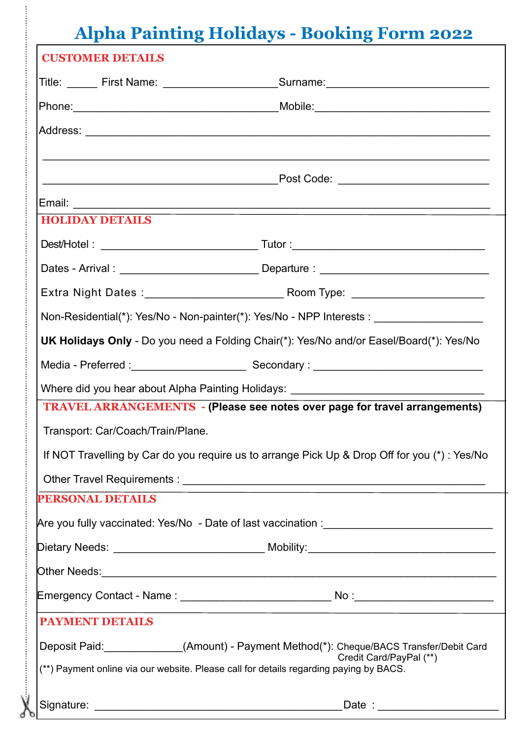## **Alpha Painting Holidays - Booking Form 2022**

| <b>CUSTOMER DETAILS</b>                                                                                                                                                                                        |  |
|----------------------------------------------------------------------------------------------------------------------------------------------------------------------------------------------------------------|--|
| Title: ______ First Name: _________________________Surname: ____________________                                                                                                                               |  |
|                                                                                                                                                                                                                |  |
|                                                                                                                                                                                                                |  |
|                                                                                                                                                                                                                |  |
|                                                                                                                                                                                                                |  |
|                                                                                                                                                                                                                |  |
| <b>HOLIDAY DETAILS</b>                                                                                                                                                                                         |  |
|                                                                                                                                                                                                                |  |
| Dates - Arrival : ______________________________Departure : ____________________                                                                                                                               |  |
|                                                                                                                                                                                                                |  |
| Non-Residential(*): Yes/No - Non-painter(*): Yes/No - NPP Interests : ___________                                                                                                                              |  |
| UK Holidays Only - Do you need a Folding Chair(*): Yes/No and/or Easel/Board(*): Yes/No                                                                                                                        |  |
|                                                                                                                                                                                                                |  |
| Where did you hear about Alpha Painting Holidays: ______________________________                                                                                                                               |  |
| <b>TRAVEL ARRANGEMENTS - (Please see notes over page for travel arrangements)</b>                                                                                                                              |  |
| Transport: Car/Coach/Train/Plane.                                                                                                                                                                              |  |
| If NOT Travelling by Car do you require us to arrange Pick Up & Drop Off for you (*) : Yes/No                                                                                                                  |  |
|                                                                                                                                                                                                                |  |
| <b>PERSONAL DETAILS</b>                                                                                                                                                                                        |  |
|                                                                                                                                                                                                                |  |
|                                                                                                                                                                                                                |  |
|                                                                                                                                                                                                                |  |
| Emergency Contact - Name:<br>No :                                                                                                                                                                              |  |
| <b>PAYMENT DETAILS</b>                                                                                                                                                                                         |  |
| Deposit Paid: ______________(Amount) - Payment Method(*): Cheque/BACS Transfer/Debit Card<br>Credit Card/PayPal (**)<br>(**) Payment online via our website. Please call for details regarding paying by BACS. |  |
| Signature:                                                                                                                                                                                                     |  |